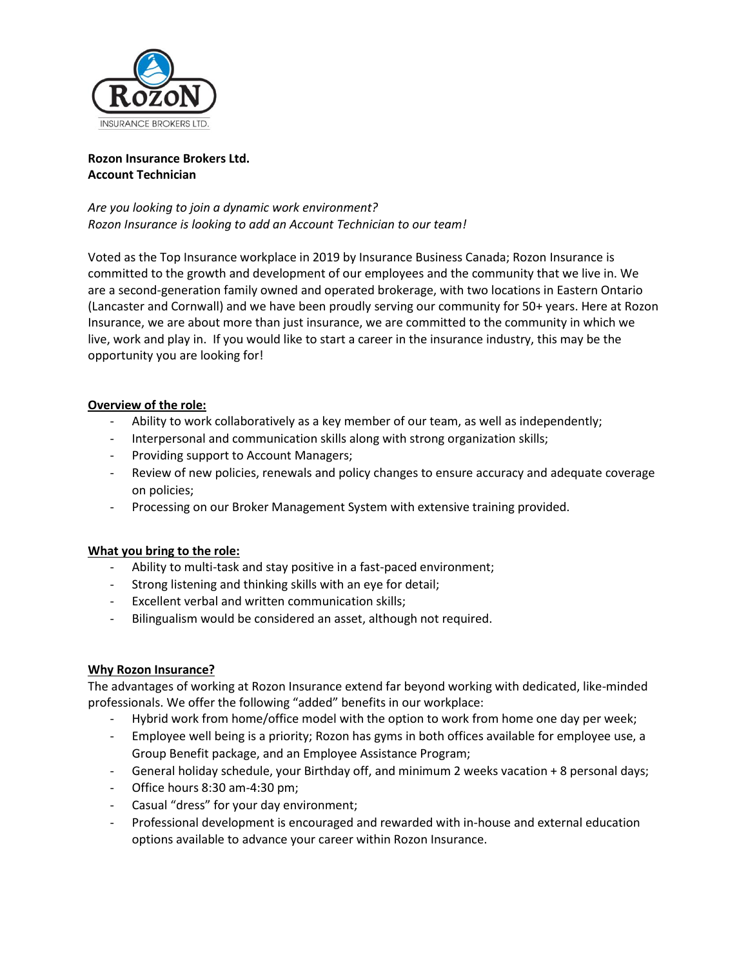

### **Rozon Insurance Brokers Ltd. Account Technician**

*Are you looking to join a dynamic work environment? Rozon Insurance is looking to add an Account Technician to our team!* 

Voted as the Top Insurance workplace in 2019 by Insurance Business Canada; Rozon Insurance is committed to the growth and development of our employees and the community that we live in. We are a second-generation family owned and operated brokerage, with two locations in Eastern Ontario (Lancaster and Cornwall) and we have been proudly serving our community for 50+ years. Here at Rozon Insurance, we are about more than just insurance, we are committed to the community in which we live, work and play in. If you would like to start a career in the insurance industry, this may be the opportunity you are looking for!

# **Overview of the role:**

- Ability to work collaboratively as a key member of our team, as well as independently;
- Interpersonal and communication skills along with strong organization skills;
- Providing support to Account Managers;
- Review of new policies, renewals and policy changes to ensure accuracy and adequate coverage on policies;
- Processing on our Broker Management System with extensive training provided.

## **What you bring to the role:**

- Ability to multi-task and stay positive in a fast-paced environment;
- Strong listening and thinking skills with an eye for detail;
- Excellent verbal and written communication skills;
- Bilingualism would be considered an asset, although not required.

## **Why Rozon Insurance?**

The advantages of working at Rozon Insurance extend far beyond working with dedicated, like-minded professionals. We offer the following "added" benefits in our workplace:

- Hybrid work from home/office model with the option to work from home one day per week;
- Employee well being is a priority; Rozon has gyms in both offices available for employee use, a Group Benefit package, and an Employee Assistance Program;
- General holiday schedule, your Birthday off, and minimum 2 weeks vacation + 8 personal days;
- Office hours 8:30 am-4:30 pm;
- Casual "dress" for your day environment;
- Professional development is encouraged and rewarded with in-house and external education options available to advance your career within Rozon Insurance.